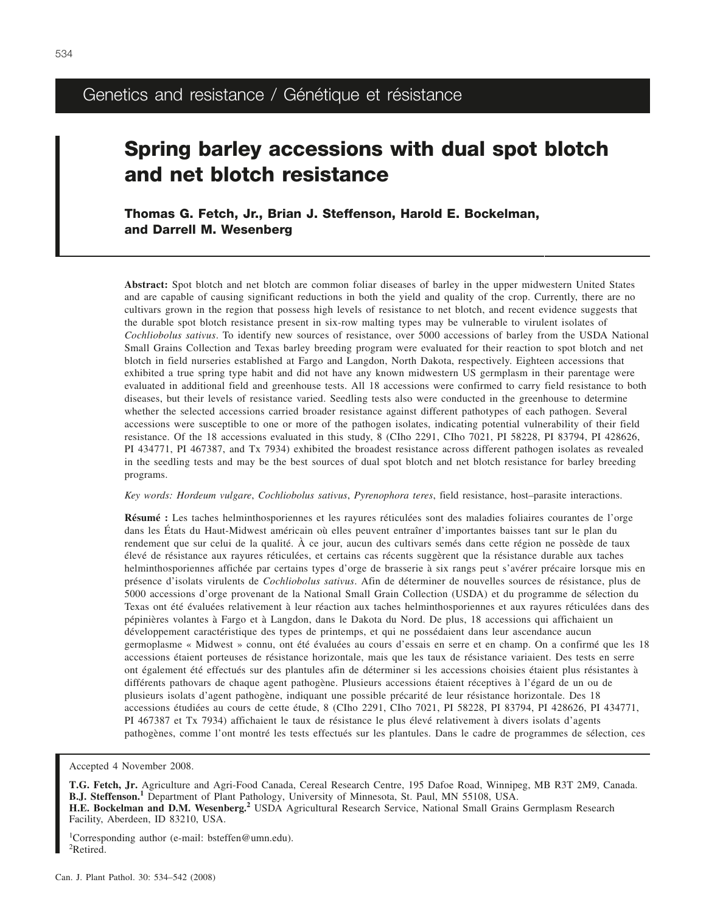# Genetics and resistance / Génétique et résistance

# **Spring barley accessions with dual spot blotch and net blotch resistance**

**Thomas G. Fetch, Jr., Brian J. Steffenson, Harold E. Bockelman, and Darrell M. Wesenberg**

**Abstract:** Spot blotch and net blotch are common foliar diseases of barley in the upper midwestern United States and are capable of causing significant reductions in both the yield and quality of the crop. Currently, there are no cultivars grown in the region that possess high levels of resistance to net blotch, and recent evidence suggests that the durable spot blotch resistance present in six-row malting types may be vulnerable to virulent isolates of *Cochliobolus sativus*. To identify new sources of resistance, over 5000 accessions of barley from the USDA National Small Grains Collection and Texas barley breeding program were evaluated for their reaction to spot blotch and net blotch in field nurseries established at Fargo and Langdon, North Dakota, respectively. Eighteen accessions that exhibited a true spring type habit and did not have any known midwestern US germplasm in their parentage were evaluated in additional field and greenhouse tests. All 18 accessions were confirmed to carry field resistance to both diseases, but their levels of resistance varied. Seedling tests also were conducted in the greenhouse to determine whether the selected accessions carried broader resistance against different pathotypes of each pathogen. Several accessions were susceptible to one or more of the pathogen isolates, indicating potential vulnerability of their field resistance. Of the 18 accessions evaluated in this study, 8 (CIho 2291, CIho 7021, PI 58228, PI 83794, PI 428626, PI 434771, PI 467387, and Tx 7934) exhibited the broadest resistance across different pathogen isolates as revealed in the seedling tests and may be the best sources of dual spot blotch and net blotch resistance for barley breeding programs.

*Key words: Hordeum vulgare*, *Cochliobolus sativus*, *Pyrenophora teres*, field resistance, host–parasite interactions.

**Résumé :** Les taches helminthosporiennes et les rayures réticulées sont des maladies foliaires courantes de l'orge dans les États du Haut-Midwest américain où elles peuvent entraîner d'importantes baisses tant sur le plan du rendement que sur celui de la qualité. À ce jour, aucun des cultivars semés dans cette région ne possède de taux élevé de résistance aux rayures réticulées, et certains cas récents suggèrent que la résistance durable aux taches helminthosporiennes affichée par certains types d'orge de brasserie à six rangs peut s'avérer précaire lorsque mis en présence d'isolats virulents de *Cochliobolus sativus*. Afin de déterminer de nouvelles sources de résistance, plus de 5000 accessions d'orge provenant de la National Small Grain Collection (USDA) et du programme de sélection du Texas ont été évaluées relativement à leur réaction aux taches helminthosporiennes et aux rayures réticulées dans des pépinières volantes à Fargo et à Langdon, dans le Dakota du Nord. De plus, 18 accessions qui affichaient un développement caractéristique des types de printemps, et qui ne possédaient dans leur ascendance aucun germoplasme « Midwest » connu, ont été évaluées au cours d'essais en serre et en champ. On a confirmé que les 18 accessions étaient porteuses de résistance horizontale, mais que les taux de résistance variaient. Des tests en serre ont également été effectués sur des plantules afin de déterminer si les accessions choisies étaient plus résistantes à différents pathovars de chaque agent pathogène. Plusieurs accessions étaient réceptives à l'égard de un ou de plusieurs isolats d'agent pathogène, indiquant une possible précarité de leur résistance horizontale. Des 18 accessions étudiées au cours de cette étude, 8 (CIho 2291, CIho 7021, PI 58228, PI 83794, PI 428626, PI 434771, PI 467387 et Tx 7934) affichaient le taux de résistance le plus élevé relativement à divers isolats d'agents pathogènes, comme l'ont montré les tests effectués sur les plantules. Dans le cadre de programmes de sélection, ces

Accepted 4 November 2008.

**T.G. Fetch, Jr.** Agriculture and Agri-Food Canada, Cereal Research Centre, 195 Dafoe Road, Winnipeg, MB R3T 2M9, Canada. **B.J. Steffenson.<sup>1</sup>** Department of Plant Pathology, University of Minnesota, St. Paul, MN 55108, USA. **H.E. Bockelman and D.M. Wesenberg.<sup>2</sup>** USDA Agricultural Research Service, National Small Grains Germplasm Research Facility, Aberdeen, ID 83210, USA.

<sup>1</sup>Corresponding author (e-mail: bsteffen@umn.edu). 2 Retired.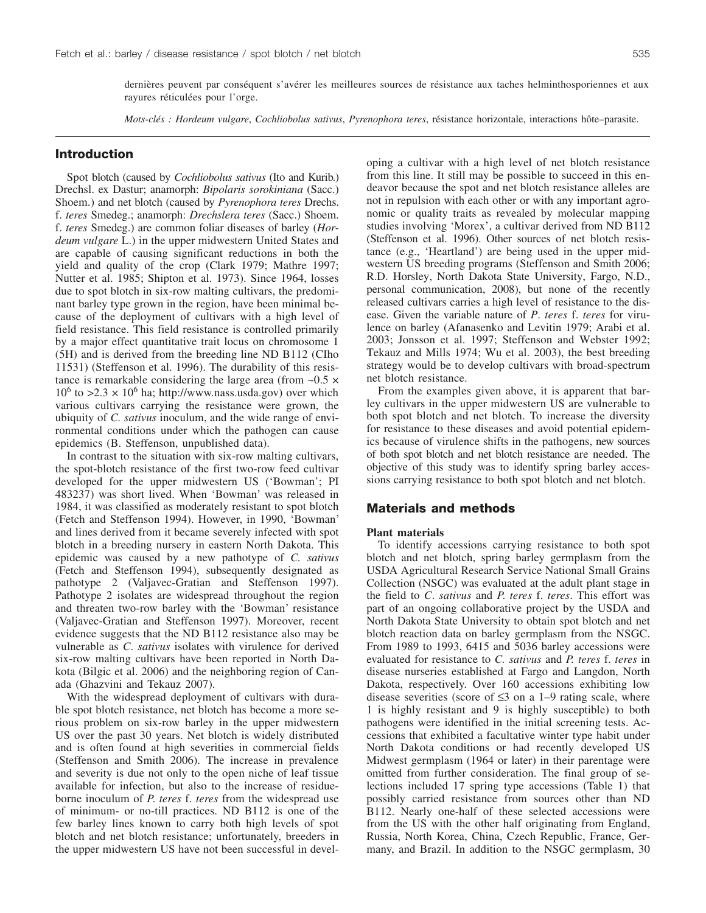dernières peuvent par conséquent s'avérer les meilleures sources de résistance aux taches helminthosporiennes et aux rayures réticulées pour l'orge.

*Mots-clés : Hordeum vulgare*, *Cochliobolus sativus*, *Pyrenophora teres*, résistance horizontale, interactions hôte–parasite.

#### $\mathbf 0$ **Introduction**

Spot blotch (caused by *Cochliobolus sativus* (Ito and Kurib.) Drechsl. ex Dastur; anamorph: *Bipolaris sorokiniana* (Sacc.) Shoem.) and net blotch (caused by *Pyrenophora teres* Drechs. f. *teres* Smedeg.; anamorph: *Drechslera teres* (Sacc.) Shoem. f. *teres* Smedeg.) are common foliar diseases of barley (*Hordeum vulgare* L.) in the upper midwestern United States and are capable of causing significant reductions in both the yield and quality of the crop (Clark 1979; Mathre 1997; Nutter et al. 1985; Shipton et al. 1973). Since 1964, losses due to spot blotch in six-row malting cultivars, the predominant barley type grown in the region, have been minimal because of the deployment of cultivars with a high level of field resistance. This field resistance is controlled primarily by a major effect quantitative trait locus on chromosome 1 (5H) and is derived from the breeding line ND B112 (CIho 11531) (Steffenson et al. 1996). The durability of this resistance is remarkable considering the large area (from  $\sim 0.5 \times$  $10^6$  to >2.3 × 10<sup>6</sup> ha; http://www.nass.usda.gov) over which various cultivars carrying the resistance were grown, the ubiquity of *C. sativus* inoculum, and the wide range of environmental conditions under which the pathogen can cause epidemics (B. Steffenson, unpublished data).

In contrast to the situation with six-row malting cultivars, the spot-blotch resistance of the first two-row feed cultivar developed for the upper midwestern US ('Bowman'; PI 483237) was short lived. When 'Bowman' was released in 1984, it was classified as moderately resistant to spot blotch (Fetch and Steffenson 1994). However, in 1990, 'Bowman' and lines derived from it became severely infected with spot blotch in a breeding nursery in eastern North Dakota. This epidemic was caused by a new pathotype of *C. sativus* (Fetch and Steffenson 1994), subsequently designated as pathotype 2 (Valjavec-Gratian and Steffenson 1997). Pathotype 2 isolates are widespread throughout the region and threaten two-row barley with the 'Bowman' resistance (Valjavec-Gratian and Steffenson 1997). Moreover, recent evidence suggests that the ND B112 resistance also may be vulnerable as *C*. *sativus* isolates with virulence for derived six-row malting cultivars have been reported in North Dakota (Bilgic et al. 2006) and the neighboring region of Canada (Ghazvini and Tekauz 2007).

With the widespread deployment of cultivars with durable spot blotch resistance, net blotch has become a more serious problem on six-row barley in the upper midwestern US over the past 30 years. Net blotch is widely distributed and is often found at high severities in commercial fields (Steffenson and Smith 2006). The increase in prevalence and severity is due not only to the open niche of leaf tissue available for infection, but also to the increase of residueborne inoculum of *P*. *teres* f. *teres* from the widespread use of minimum- or no-till practices. ND B112 is one of the few barley lines known to carry both high levels of spot blotch and net blotch resistance; unfortunately, breeders in the upper midwestern US have not been successful in devel-

oping a cultivar with a high level of net blotch resistance from this line. It still may be possible to succeed in this endeavor because the spot and net blotch resistance alleles are not in repulsion with each other or with any important agronomic or quality traits as revealed by molecular mapping studies involving 'Morex', a cultivar derived from ND B112 (Steffenson et al. 1996). Other sources of net blotch resistance (e.g., 'Heartland') are being used in the upper midwestern US breeding programs (Steffenson and Smith 2006; R.D. Horsley, North Dakota State University, Fargo, N.D., personal communication, 2008), but none of the recently released cultivars carries a high level of resistance to the disease. Given the variable nature of *P. teres* f. *teres* for virulence on barley (Afanasenko and Levitin 1979; Arabi et al. 2003; Jonsson et al. 1997; Steffenson and Webster 1992; Tekauz and Mills 1974; Wu et al. 2003), the best breeding strategy would be to develop cultivars with broad-spectrum net blotch resistance.

From the examples given above, it is apparent that barley cultivars in the upper midwestern US are vulnerable to both spot blotch and net blotch. To increase the diversity for resistance to these diseases and avoid potential epidemics because of virulence shifts in the pathogens, new sources of both spot blotch and net blotch resistance are needed. The objective of this study was to identify spring barley accessions carrying resistance to both spot blotch and net blotch.

# **Materials and methods**

# **Plant materials**

To identify accessions carrying resistance to both spot blotch and net blotch, spring barley germplasm from the USDA Agricultural Research Service National Small Grains Collection (NSGC) was evaluated at the adult plant stage in the field to *C*. *sativus* and *P*. *teres* f. *teres*. This effort was part of an ongoing collaborative project by the USDA and North Dakota State University to obtain spot blotch and net blotch reaction data on barley germplasm from the NSGC. From 1989 to 1993, 6415 and 5036 barley accessions were evaluated for resistance to *C. sativus* and *P. teres* f. *teres* in disease nurseries established at Fargo and Langdon, North Dakota, respectively. Over 160 accessions exhibiting low disease severities (score of  $\leq$ 3 on a 1–9 rating scale, where 1 is highly resistant and 9 is highly susceptible) to both pathogens were identified in the initial screening tests. Accessions that exhibited a facultative winter type habit under North Dakota conditions or had recently developed US Midwest germplasm (1964 or later) in their parentage were omitted from further consideration. The final group of selections included 17 spring type accessions (Table 1) that possibly carried resistance from sources other than ND B112. Nearly one-half of these selected accessions were from the US with the other half originating from England, Russia, North Korea, China, Czech Republic, France, Germany, and Brazil. In addition to the NSGC germplasm, 30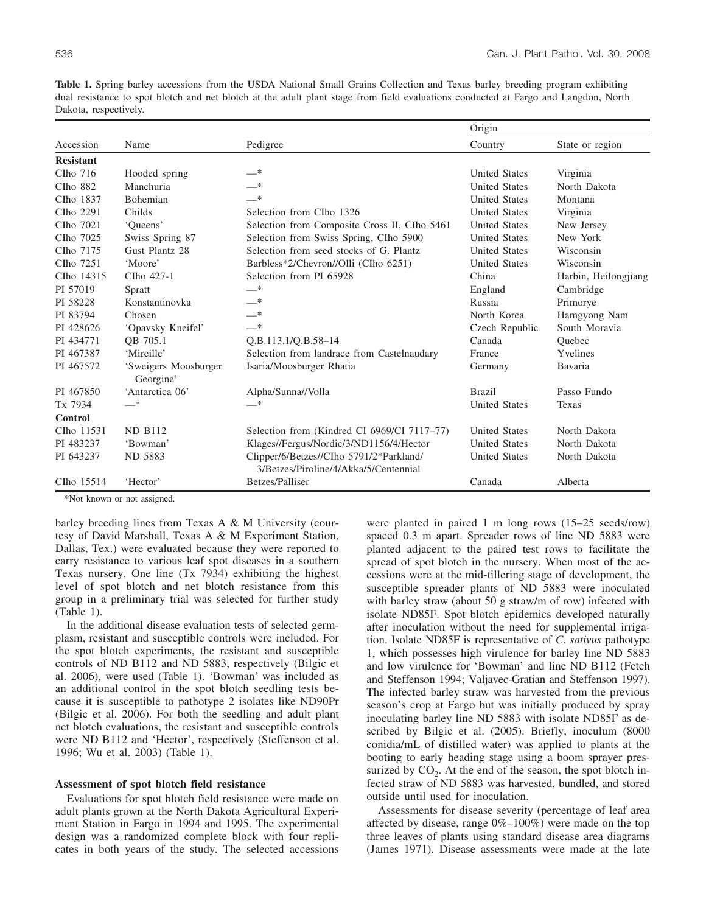|                  |                                   |                                                                                  | Origin               |                      |
|------------------|-----------------------------------|----------------------------------------------------------------------------------|----------------------|----------------------|
| Accession        | Name                              | Pedigree                                                                         | Country              | State or region      |
| <b>Resistant</b> |                                   |                                                                                  |                      |                      |
| CIho 716         | Hooded spring                     | $-$ *                                                                            | <b>United States</b> | Virginia             |
| CIho 882         | Manchuria                         | $-*$                                                                             | <b>United States</b> | North Dakota         |
| CIho 1837        | Bohemian                          | $-$ *                                                                            | <b>United States</b> | Montana              |
| CIho 2291        | Childs                            | Selection from CIho 1326                                                         | <b>United States</b> | Virginia             |
| CIho 7021        | 'Oueens'                          | Selection from Composite Cross II, Clho 5461                                     | <b>United States</b> | New Jersey           |
| CIho 7025        | Swiss Spring 87                   | Selection from Swiss Spring, Clho 5900                                           | <b>United States</b> | New York             |
| CIho 7175        | Gust Plantz 28                    | Selection from seed stocks of G. Plantz                                          | <b>United States</b> | Wisconsin            |
| CIho 7251        | 'Moore'                           | Barbless*2/Chevron//Olli (CIho 6251)                                             | <b>United States</b> | Wisconsin            |
| CIho 14315       | CIho 427-1                        | Selection from PI 65928                                                          | China                | Harbin, Heilongjiang |
| PI 57019         | Spratt                            | $-$ *                                                                            | England              | Cambridge            |
| PI 58228         | Konstantinovka                    | $-$ *                                                                            | Russia               | Primorye             |
| PI 83794         | Chosen                            | $-*$                                                                             | North Korea          | Hamgyong Nam         |
| PI 428626        | 'Opavsky Kneifel'                 | $-*$                                                                             | Czech Republic       | South Moravia        |
| PI 434771        | OB 705.1                          | Q.B.113.1/Q.B.58-14                                                              | Canada               | Quebec               |
| PI 467387        | 'Mireille'                        | Selection from landrace from Castelnaudary                                       | France               | Yvelines             |
| PI 467572        | 'Sweigers Moosburger<br>Georgine' | Isaria/Moosburger Rhatia                                                         | Germany              | Bavaria              |
| PI 467850        | 'Antarctica 06'                   | Alpha/Sunna//Volla                                                               | <b>Brazil</b>        | Passo Fundo          |
| Tx 7934          | $-^*$                             | $-^*$                                                                            | <b>United States</b> | Texas                |
| <b>Control</b>   |                                   |                                                                                  |                      |                      |
| CIho 11531       | <b>ND B112</b>                    | Selection from (Kindred CI 6969/CI 7117-77)                                      | <b>United States</b> | North Dakota         |
| PI 483237        | 'Bowman'                          | Klages//Fergus/Nordic/3/ND1156/4/Hector                                          | <b>United States</b> | North Dakota         |
| PI 643237        | ND 5883                           | Clipper/6/Betzes//CIho 5791/2*Parkland/<br>3/Betzes/Piroline/4/Akka/5/Centennial | <b>United States</b> | North Dakota         |
| CIho 15514       | 'Hector'                          | Betzes/Palliser                                                                  | Canada               | Alberta              |

\*Not known or not assigned.

barley breeding lines from Texas A  $\& M$  University (courtesy of David Marshall, Texas A & M Experiment Station, Dallas, Tex.) were evaluated because they were reported to carry resistance to various leaf spot diseases in a southern Texas nursery. One line (Tx 7934) exhibiting the highest level of spot blotch and net blotch resistance from this group in a preliminary trial was selected for further study (Table 1).

In the additional disease evaluation tests of selected germplasm, resistant and susceptible controls were included. For the spot blotch experiments, the resistant and susceptible controls of ND B112 and ND 5883, respectively (Bilgic et al. 2006), were used (Table 1). 'Bowman' was included as an additional control in the spot blotch seedling tests because it is susceptible to pathotype 2 isolates like ND90Pr (Bilgic et al. 2006). For both the seedling and adult plant net blotch evaluations, the resistant and susceptible controls were ND B112 and 'Hector', respectively (Steffenson et al. 1996; Wu et al. 2003) (Table 1).

#### **Assessment of spot blotch field resistance**

Evaluations for spot blotch field resistance were made on adult plants grown at the North Dakota Agricultural Experiment Station in Fargo in 1994 and 1995. The experimental design was a randomized complete block with four replicates in both years of the study. The selected accessions

were planted in paired 1 m long rows (15–25 seeds/row) spaced 0.3 m apart. Spreader rows of line ND 5883 were planted adjacent to the paired test rows to facilitate the spread of spot blotch in the nursery. When most of the accessions were at the mid-tillering stage of development, the susceptible spreader plants of ND 5883 were inoculated with barley straw (about 50 g straw/m of row) infected with isolate ND85F. Spot blotch epidemics developed naturally after inoculation without the need for supplemental irrigation. Isolate ND85F is representative of *C*. *sativus* pathotype 1, which possesses high virulence for barley line ND 5883 and low virulence for 'Bowman' and line ND B112 (Fetch and Steffenson 1994; Valjavec-Gratian and Steffenson 1997). The infected barley straw was harvested from the previous season's crop at Fargo but was initially produced by spray inoculating barley line ND 5883 with isolate ND85F as described by Bilgic et al. (2005). Briefly, inoculum (8000 conidia/mL of distilled water) was applied to plants at the booting to early heading stage using a boom sprayer pressurized by  $CO<sub>2</sub>$ . At the end of the season, the spot blotch infected straw of ND 5883 was harvested, bundled, and stored outside until used for inoculation.

Assessments for disease severity (percentage of leaf area affected by disease, range 0%–100%) were made on the top three leaves of plants using standard disease area diagrams (James 1971). Disease assessments were made at the late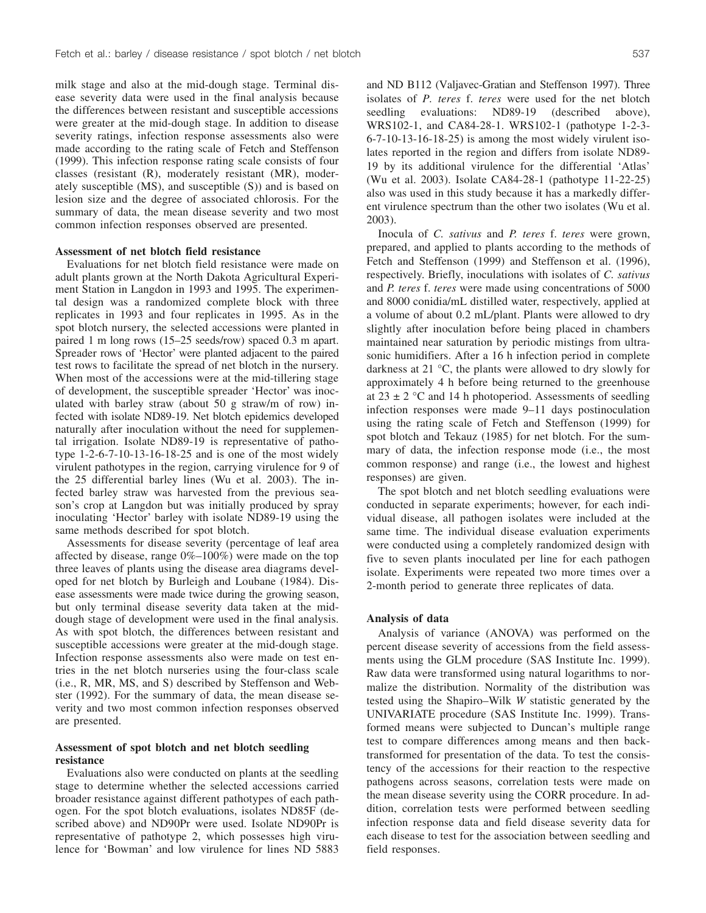milk stage and also at the mid-dough stage. Terminal disease severity data were used in the final analysis because the differences between resistant and susceptible accessions were greater at the mid-dough stage. In addition to disease severity ratings, infection response assessments also were made according to the rating scale of Fetch and Steffenson (1999). This infection response rating scale consists of four classes (resistant (R), moderately resistant (MR), moderately susceptible (MS), and susceptible (S)) and is based on lesion size and the degree of associated chlorosis. For the summary of data, the mean disease severity and two most common infection responses observed are presented.

#### **Assessment of net blotch field resistance**

Evaluations for net blotch field resistance were made on adult plants grown at the North Dakota Agricultural Experiment Station in Langdon in 1993 and 1995. The experimental design was a randomized complete block with three replicates in 1993 and four replicates in 1995. As in the spot blotch nursery, the selected accessions were planted in paired 1 m long rows (15–25 seeds/row) spaced 0.3 m apart. Spreader rows of 'Hector' were planted adjacent to the paired test rows to facilitate the spread of net blotch in the nursery. When most of the accessions were at the mid-tillering stage of development, the susceptible spreader 'Hector' was inoculated with barley straw (about 50 g straw/m of row) infected with isolate ND89-19. Net blotch epidemics developed naturally after inoculation without the need for supplemental irrigation. Isolate ND89-19 is representative of pathotype 1-2-6-7-10-13-16-18-25 and is one of the most widely virulent pathotypes in the region, carrying virulence for 9 of the 25 differential barley lines (Wu et al. 2003). The infected barley straw was harvested from the previous season's crop at Langdon but was initially produced by spray inoculating 'Hector' barley with isolate ND89-19 using the same methods described for spot blotch.

Assessments for disease severity (percentage of leaf area affected by disease, range 0%–100%) were made on the top three leaves of plants using the disease area diagrams developed for net blotch by Burleigh and Loubane (1984). Disease assessments were made twice during the growing season, but only terminal disease severity data taken at the middough stage of development were used in the final analysis. As with spot blotch, the differences between resistant and susceptible accessions were greater at the mid-dough stage. Infection response assessments also were made on test entries in the net blotch nurseries using the four-class scale (i.e., R, MR, MS, and S) described by Steffenson and Webster (1992). For the summary of data, the mean disease severity and two most common infection responses observed are presented.

# **Assessment of spot blotch and net blotch seedling resistance**

Evaluations also were conducted on plants at the seedling stage to determine whether the selected accessions carried broader resistance against different pathotypes of each pathogen. For the spot blotch evaluations, isolates ND85F (described above) and ND90Pr were used. Isolate ND90Pr is representative of pathotype 2, which possesses high virulence for 'Bowman' and low virulence for lines ND 5883 and ND B112 (Valjavec-Gratian and Steffenson 1997). Three isolates of *P. teres* f. *teres* were used for the net blotch seedling evaluations: ND89-19 (described above), WRS102-1, and CA84-28-1. WRS102-1 (pathotype 1-2-3- 6-7-10-13-16-18-25) is among the most widely virulent isolates reported in the region and differs from isolate ND89- 19 by its additional virulence for the differential 'Atlas' (Wu et al. 2003). Isolate CA84-28-1 (pathotype 11-22-25) also was used in this study because it has a markedly different virulence spectrum than the other two isolates (Wu et al. 2003).

Inocula of *C. sativus* and *P. teres* f. *teres* were grown, prepared, and applied to plants according to the methods of Fetch and Steffenson (1999) and Steffenson et al. (1996), respectively. Briefly, inoculations with isolates of *C. sativus* and *P. teres* f. *teres* were made using concentrations of 5000 and 8000 conidia/mL distilled water, respectively, applied at a volume of about 0.2 mL/plant. Plants were allowed to dry slightly after inoculation before being placed in chambers maintained near saturation by periodic mistings from ultrasonic humidifiers. After a 16 h infection period in complete darkness at 21 °C, the plants were allowed to dry slowly for approximately 4 h before being returned to the greenhouse at  $23 \pm 2$  °C and 14 h photoperiod. Assessments of seedling infection responses were made 9–11 days postinoculation using the rating scale of Fetch and Steffenson (1999) for spot blotch and Tekauz (1985) for net blotch. For the summary of data, the infection response mode (i.e., the most common response) and range (i.e., the lowest and highest responses) are given.

The spot blotch and net blotch seedling evaluations were conducted in separate experiments; however, for each individual disease, all pathogen isolates were included at the same time. The individual disease evaluation experiments were conducted using a completely randomized design with five to seven plants inoculated per line for each pathogen isolate. Experiments were repeated two more times over a 2-month period to generate three replicates of data.

# **Analysis of data**

Analysis of variance (ANOVA) was performed on the percent disease severity of accessions from the field assessments using the GLM procedure (SAS Institute Inc. 1999). Raw data were transformed using natural logarithms to normalize the distribution. Normality of the distribution was tested using the Shapiro–Wilk *W* statistic generated by the UNIVARIATE procedure (SAS Institute Inc. 1999). Transformed means were subjected to Duncan's multiple range test to compare differences among means and then backtransformed for presentation of the data. To test the consistency of the accessions for their reaction to the respective pathogens across seasons, correlation tests were made on the mean disease severity using the CORR procedure. In addition, correlation tests were performed between seedling infection response data and field disease severity data for each disease to test for the association between seedling and field responses.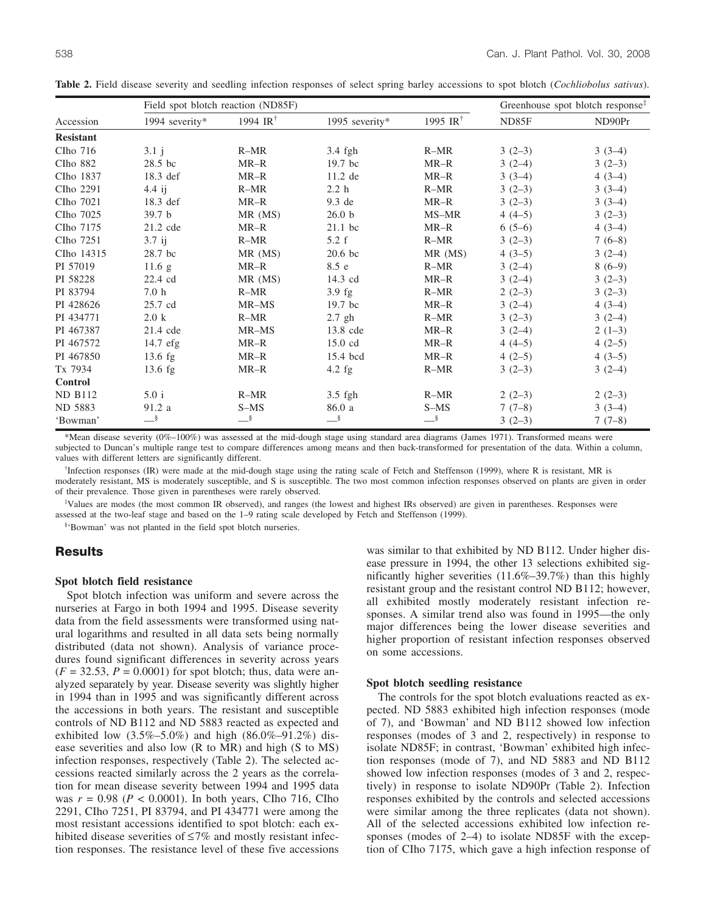|                  | Field spot blotch reaction (ND85F)  |                      | Greenhouse spot blotch response <sup>#</sup> |                                     |          |           |  |
|------------------|-------------------------------------|----------------------|----------------------------------------------|-------------------------------------|----------|-----------|--|
| Accession        | 1994 severity*                      | 1994 IR <sup>†</sup> | 1995 severity*                               | 1995 IR <sup>†</sup>                | ND85F    | ND90Pr    |  |
| <b>Resistant</b> |                                     |                      |                                              |                                     |          |           |  |
| CIho 716         | $3.1\;$ i                           | $R-MR$               | 3.4 fgh                                      | $R-MR$                              | $3(2-3)$ | $3(3-4)$  |  |
| CIho 882         | 28.5 bc                             | MR-R                 | $19.7$ bc                                    | $MR-R$                              | $3(2-4)$ | $3(2-3)$  |  |
| CIho 1837        | 18.3 def                            | $MR-R$               | 11.2 de                                      | $MR-R$                              | $3(3-4)$ | 4 $(3-4)$ |  |
| CIho 2291        | $4.4$ ij                            | $R-MR$               | 2.2 h                                        | $R-MR$                              | $3(2-3)$ | $3(3-4)$  |  |
| CIho 7021        | 18.3 def                            | $MR-R$               | 9.3 de                                       | $MR-R$                              | $3(2-3)$ | $3(3-4)$  |  |
| CIho 7025        | 39.7 b                              | MR (MS)              | $26.0\ \mathrm{b}$                           | MS-MR                               | $4(4-5)$ | $3(2-3)$  |  |
| CIho 7175        | $21.2$ cde                          | $MR-R$               | $21.1$ bc                                    | $MR-R$                              | $6(5-6)$ | $4(3-4)$  |  |
| CIho 7251        | $3.7$ ij                            | $R-MR$               | 5.2 f                                        | $R-MR$                              | $3(2-3)$ | $7(6-8)$  |  |
| CIho 14315       | 28.7 bc                             | MR (MS)              | $20.6$ bc                                    | MR(MS)                              | $4(3-5)$ | $3(2-4)$  |  |
| PI 57019         | 11.6 <sub>g</sub>                   | $MR-R$               | 8.5 e                                        | $R-MR$                              | $3(2-4)$ | $8(6-9)$  |  |
| PI 58228         | 22.4 cd                             | MR (MS)              | 14.3 cd                                      | $MR-R$                              | $3(2-4)$ | $3(2-3)$  |  |
| PI 83794         | 7.0 <sub>h</sub>                    | $R-MR$               | $3.9$ fg                                     | $R-MR$                              | $2(2-3)$ | $3(2-3)$  |  |
| PI 428626        | 25.7 cd                             | MR-MS                | $19.7$ bc                                    | $MR-R$                              | $3(2-4)$ | $4(3-4)$  |  |
| PI 434771        | $2.0\;k$                            | $R-MR$               | $2.7$ gh                                     | $R-MR$                              | $3(2-3)$ | $3(2-4)$  |  |
| PI 467387        | 21.4 cde                            | MR-MS                | 13.8 cde                                     | $MR-R$                              | $3(2-4)$ | $2(1-3)$  |  |
| PI 467572        | $14.7$ efg                          | $MR-R$               | 15.0 cd                                      | $MR-R$                              | $4(4-5)$ | $4(2-5)$  |  |
| PI 467850        | $13.6$ fg                           | MR-R                 | 15.4 bcd                                     | $MR-R$                              | $4(2-5)$ | $4(3-5)$  |  |
| Tx 7934          | $13.6$ fg                           | MR-R                 | $4.2$ fg                                     | $R-MR$                              | $3(2-3)$ | $3(2-4)$  |  |
| Control          |                                     |                      |                                              |                                     |          |           |  |
| <b>ND B112</b>   | 5.0i                                | $R-MR$               | $3.5$ fgh                                    | $R-MR$                              | $2(2-3)$ | $2(2-3)$  |  |
| ND 5883          | 91.2a                               | $S-MS$               | 86.0 a                                       | $S-MS$                              | $7(7-8)$ | $3(3-4)$  |  |
| 'Bowman'         | $\overset{\circ}{\phantom{2}}^{\S}$ | $-$ §                | $\overset{\circ}{-}$                         | $\overset{\circ}{\phantom{0}}^{\S}$ | $3(2-3)$ | $7(7-8)$  |  |

**Table 2.** Field disease severity and seedling infection responses of select spring barley accessions to spot blotch (*Cochliobolus sativus*).

\*Mean disease severity (0%–100%) was assessed at the mid-dough stage using standard area diagrams (James 1971). Transformed means were subjected to Duncan's multiple range test to compare differences among means and then back-transformed for presentation of the data. Within a column, values with different letters are significantly different.

† Infection responses (IR) were made at the mid-dough stage using the rating scale of Fetch and Steffenson (1999), where R is resistant, MR is moderately resistant, MS is moderately susceptible, and S is susceptible. The two most common infection responses observed on plants are given in order of their prevalence. Those given in parentheses were rarely observed.

‡ Values are modes (the most common IR observed), and ranges (the lowest and highest IRs observed) are given in parentheses. Responses were assessed at the two-leaf stage and based on the 1–9 rating scale developed by Fetch and Steffenson (1999).

§ 'Bowman' was not planted in the field spot blotch nurseries.

# **Results**

# **Spot blotch field resistance**

Spot blotch infection was uniform and severe across the nurseries at Fargo in both 1994 and 1995. Disease severity data from the field assessments were transformed using natural logarithms and resulted in all data sets being normally distributed (data not shown). Analysis of variance procedures found significant differences in severity across years  $(F = 32.53, P = 0.0001)$  for spot blotch; thus, data were analyzed separately by year. Disease severity was slightly higher in 1994 than in 1995 and was significantly different across the accessions in both years. The resistant and susceptible controls of ND B112 and ND 5883 reacted as expected and exhibited low  $(3.5\% - 5.0\%)$  and high  $(86.0\% - 91.2\%)$  disease severities and also low (R to MR) and high (S to MS) infection responses, respectively (Table 2). The selected accessions reacted similarly across the 2 years as the correlation for mean disease severity between 1994 and 1995 data was *r* = 0.98 (*P* < 0.0001). In both years, CIho 716, CIho 2291, CIho 7251, PI 83794, and PI 434771 were among the most resistant accessions identified to spot blotch: each exhibited disease severities of  $\leq 7\%$  and mostly resistant infection responses. The resistance level of these five accessions

was similar to that exhibited by ND B112. Under higher disease pressure in 1994, the other 13 selections exhibited significantly higher severities (11.6%–39.7%) than this highly resistant group and the resistant control ND B112; however, all exhibited mostly moderately resistant infection responses. A similar trend also was found in 1995—the only major differences being the lower disease severities and higher proportion of resistant infection responses observed on some accessions.

# **Spot blotch seedling resistance**

The controls for the spot blotch evaluations reacted as expected. ND 5883 exhibited high infection responses (mode of 7), and 'Bowman' and ND B112 showed low infection responses (modes of 3 and 2, respectively) in response to isolate ND85F; in contrast, 'Bowman' exhibited high infection responses (mode of 7), and ND 5883 and ND B112 showed low infection responses (modes of 3 and 2, respectively) in response to isolate ND90Pr (Table 2). Infection responses exhibited by the controls and selected accessions were similar among the three replicates (data not shown). All of the selected accessions exhibited low infection responses (modes of 2–4) to isolate ND85F with the exception of CIho 7175, which gave a high infection response of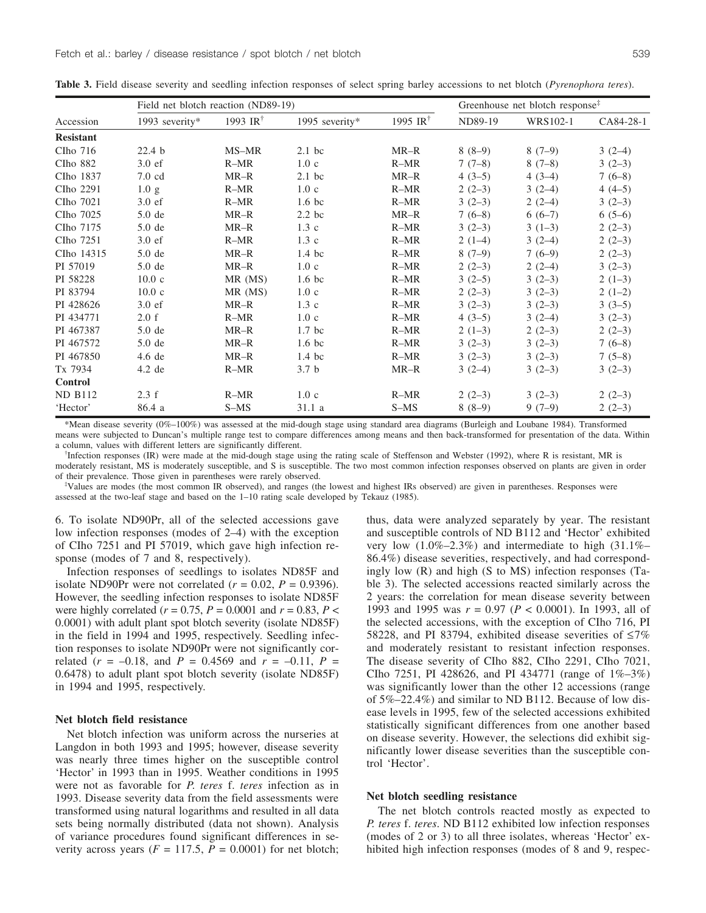|  |  |  |  |  |  |  |  |  |  |  |  | <b>Table 3.</b> Field disease severity and seedling infection responses of select spring barley accessions to net blotch ( <i>Pyrenophora teres</i> ). |  |  |  |  |  |  |  |
|--|--|--|--|--|--|--|--|--|--|--|--|--------------------------------------------------------------------------------------------------------------------------------------------------------|--|--|--|--|--|--|--|
|--|--|--|--|--|--|--|--|--|--|--|--|--------------------------------------------------------------------------------------------------------------------------------------------------------|--|--|--|--|--|--|--|

|                  | Field net blotch reaction (ND89-19) |                                         | Greenhouse net blotch response <sup>#</sup> |                      |          |          |           |  |
|------------------|-------------------------------------|-----------------------------------------|---------------------------------------------|----------------------|----------|----------|-----------|--|
| Accession        | 1993 severity*                      | 1993 IR <sup><math>\dagger</math></sup> | 1995 severity*                              | 1995 IR <sup>†</sup> | ND89-19  | WRS102-1 | CA84-28-1 |  |
| <b>Resistant</b> |                                     |                                         |                                             |                      |          |          |           |  |
| CIho 716         | 22.4 <sub>b</sub>                   | MS-MR                                   | $2.1$ bc                                    | $MR-R$               | $8(8-9)$ | $8(7-9)$ | $3(2-4)$  |  |
| CIho 882         | $3.0 \text{ ef}$                    | $R-MR$                                  | 1.0c                                        | $R-MR$               | $7(7-8)$ | $8(7-8)$ | $3(2-3)$  |  |
| CIho 1837        | $7.0 \text{ cd}$                    | $MR-R$                                  | $2.1$ bc                                    | $MR-R$               | $4(3-5)$ | $4(3-4)$ | $7(6-8)$  |  |
| CIho 2291        | 1.0 g                               | $R-MR$                                  | 1.0c                                        | $R-MR$               | $2(2-3)$ | $3(2-4)$ | $4(4-5)$  |  |
| CIho 7021        | $3.0 \text{ ef}$                    | $R-MR$                                  | 1.6 <sub>b</sub> c                          | $R-MR$               | $3(2-3)$ | $2(2-4)$ | $3(2-3)$  |  |
| CIho 7025        | 5.0 de                              | $MR-R$                                  | $2.2$ bc                                    | $MR-R$               | $7(6-8)$ | $6(6-7)$ | $6(5-6)$  |  |
| CIho 7175        | 5.0 de                              | $MR-R$                                  | $1.3\ c$                                    | $R-MR$               | $3(2-3)$ | $3(1-3)$ | $2(2-3)$  |  |
| CIho 7251        | $3.0 \text{ ef}$                    | $R-MR$                                  | $1.3\ c$                                    | $R-MR$               | $2(1-4)$ | $3(2-4)$ | $2(2-3)$  |  |
| CIho 14315       | $5.0$ de                            | $MR-R$                                  | 1.4~bc                                      | $R-MR$               | $8(7-9)$ | $7(6-9)$ | $2(2-3)$  |  |
| PI 57019         | 5.0 de                              | $MR-R$                                  | 1.0 <sub>c</sub>                            | $R-MR$               | $2(2-3)$ | $2(2-4)$ | $3(2-3)$  |  |
| PI 58228         | 10.0c                               | MR(MS)                                  | 1.6 <sub>b</sub> c                          | $R-MR$               | $3(2-5)$ | $3(2-3)$ | $2(1-3)$  |  |
| PI 83794         | 10.0c                               | MR (MS)                                 | 1.0 <sub>c</sub>                            | $R-MR$               | $2(2-3)$ | $3(2-3)$ | $2(1-2)$  |  |
| PI 428626        | $3.0 \text{ ef}$                    | $MR-R$                                  | $1.3\ c$                                    | $R-MR$               | $3(2-3)$ | $3(2-3)$ | $3(3-5)$  |  |
| PI 434771        | 2.0 f                               | $R-MR$                                  | 1.0c                                        | $R-MR$               | $4(3-5)$ | $3(2-4)$ | $3(2-3)$  |  |
| PI 467387        | 5.0 de                              | $MR-R$                                  | 1.7 <sub>bc</sub>                           | $R-MR$               | $2(1-3)$ | $2(2-3)$ | $2(2-3)$  |  |
| PI 467572        | 5.0 de                              | $MR-R$                                  | 1.6 <sub>b</sub> c                          | $R-MR$               | $3(2-3)$ | $3(2-3)$ | $7(6-8)$  |  |
| PI 467850        | 4.6 de                              | $MR-R$                                  | 1.4 bc                                      | $R-MR$               | $3(2-3)$ | $3(2-3)$ | $7(5-8)$  |  |
| Tx 7934          | $4.2$ de                            | $R-MR$                                  | 3.7 <sub>b</sub>                            | $MR-R$               | $3(2-4)$ | $3(2-3)$ | $3(2-3)$  |  |
| <b>Control</b>   |                                     |                                         |                                             |                      |          |          |           |  |
| <b>ND B112</b>   | 2.3 f                               | $R-MR$                                  | 1.0c                                        | $R-MR$               | $2(2-3)$ | $3(2-3)$ | $2(2-3)$  |  |
| 'Hector'         | 86.4 a                              | $S-MS$                                  | 31.1a                                       | $S-MS$               | $8(8-9)$ | $9(7-9)$ | $2(2-3)$  |  |

\*Mean disease severity (0%–100%) was assessed at the mid-dough stage using standard area diagrams (Burleigh and Loubane 1984). Transformed means were subjected to Duncan's multiple range test to compare differences among means and then back-transformed for presentation of the data. Within a column, values with different letters are significantly different. †

Infection responses (IR) were made at the mid-dough stage using the rating scale of Steffenson and Webster (1992), where R is resistant, MR is moderately resistant, MS is moderately susceptible, and S is susceptible. The two most common infection responses observed on plants are given in order of their prevalence. Those given in parentheses were rarely observed. ‡

<sup>\*</sup>Values are modes (the most common IR observed), and ranges (the lowest and highest IRs observed) are given in parentheses. Responses were assessed at the two-leaf stage and based on the 1–10 rating scale developed by Tekauz (1985).

6. To isolate ND90Pr, all of the selected accessions gave low infection responses (modes of 2–4) with the exception of CIho 7251 and PI 57019, which gave high infection response (modes of 7 and 8, respectively).

Infection responses of seedlings to isolates ND85F and isolate ND90Pr were not correlated  $(r = 0.02, P = 0.9396)$ . However, the seedling infection responses to isolate ND85F were highly correlated ( $r = 0.75$ ,  $P = 0.0001$  and  $r = 0.83$ ,  $P <$ 0.0001) with adult plant spot blotch severity (isolate ND85F) in the field in 1994 and 1995, respectively. Seedling infection responses to isolate ND90Pr were not significantly correlated ( $r = -0.18$ , and  $P = 0.4569$  and  $r = -0.11$ ,  $P =$ 0.6478) to adult plant spot blotch severity (isolate ND85F) in 1994 and 1995, respectively.

#### **Net blotch field resistance**

Net blotch infection was uniform across the nurseries at Langdon in both 1993 and 1995; however, disease severity was nearly three times higher on the susceptible control 'Hector' in 1993 than in 1995. Weather conditions in 1995 were not as favorable for *P*. *teres* f. *teres* infection as in 1993. Disease severity data from the field assessments were transformed using natural logarithms and resulted in all data sets being normally distributed (data not shown). Analysis of variance procedures found significant differences in severity across years ( $F = 117.5$ ,  $P = 0.0001$ ) for net blotch; thus, data were analyzed separately by year. The resistant and susceptible controls of ND B112 and 'Hector' exhibited very low  $(1.0\% - 2.3\%)$  and intermediate to high  $(31.1\% -$ 86.4%) disease severities, respectively, and had correspondingly low (R) and high (S to MS) infection responses (Table 3). The selected accessions reacted similarly across the 2 years: the correlation for mean disease severity between 1993 and 1995 was *r* = 0.97 (*P* < 0.0001). In 1993, all of the selected accessions, with the exception of CIho 716, PI 58228, and PI 83794, exhibited disease severities of  $\leq 7\%$ and moderately resistant to resistant infection responses. The disease severity of CIho 882, CIho 2291, CIho 7021, CIho 7251, PI 428626, and PI 434771 (range of 1%–3%) was significantly lower than the other 12 accessions (range of 5%–22.4%) and similar to ND B112. Because of low disease levels in 1995, few of the selected accessions exhibited statistically significant differences from one another based on disease severity. However, the selections did exhibit significantly lower disease severities than the susceptible control 'Hector'.

#### **Net blotch seedling resistance**

The net blotch controls reacted mostly as expected to *P. teres* f. *teres*. ND B112 exhibited low infection responses (modes of 2 or 3) to all three isolates, whereas 'Hector' exhibited high infection responses (modes of 8 and 9, respec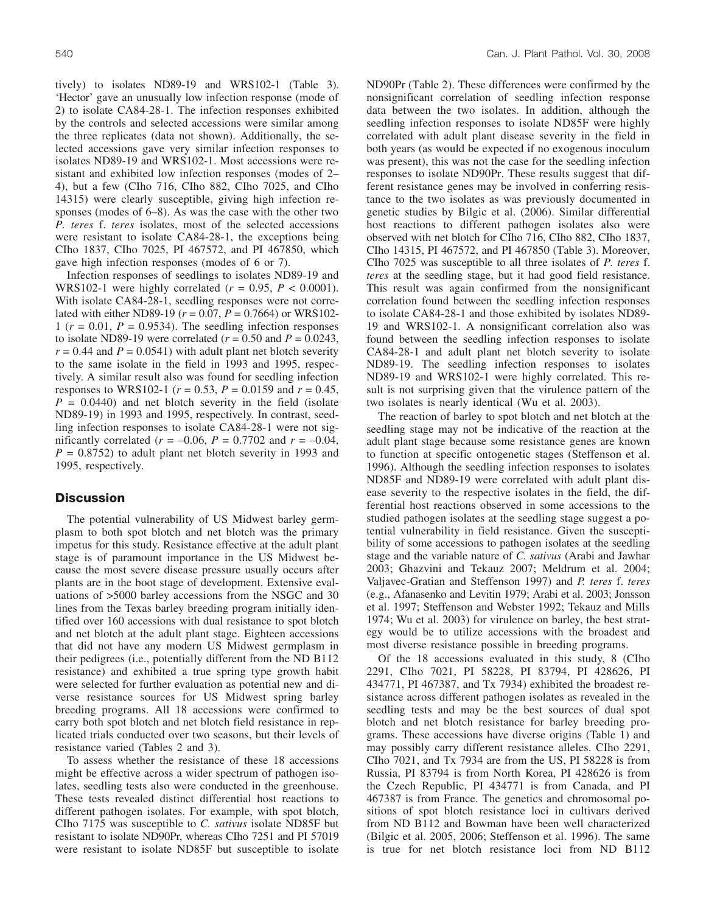tively) to isolates ND89-19 and WRS102-1 (Table 3). 'Hector' gave an unusually low infection response (mode of 2) to isolate CA84-28-1. The infection responses exhibited by the controls and selected accessions were similar among the three replicates (data not shown). Additionally, the selected accessions gave very similar infection responses to isolates ND89-19 and WRS102-1. Most accessions were resistant and exhibited low infection responses (modes of 2– 4), but a few (CIho 716, CIho 882, CIho 7025, and CIho 14315) were clearly susceptible, giving high infection responses (modes of 6–8). As was the case with the other two *P. teres* f. *teres* isolates, most of the selected accessions were resistant to isolate CA84-28-1, the exceptions being CIho 1837, CIho 7025, PI 467572, and PI 467850, which gave high infection responses (modes of 6 or 7).

Infection responses of seedlings to isolates ND89-19 and WRS102-1 were highly correlated (*r* = 0.95, *P* < 0.0001). With isolate CA84-28-1, seedling responses were not correlated with either ND89-19 (*r* = 0.07, *P* = 0.7664) or WRS102- 1 ( $r = 0.01$ ,  $P = 0.9534$ ). The seedling infection responses to isolate ND89-19 were correlated ( $r = 0.50$  and  $P = 0.0243$ ,  $r = 0.44$  and  $P = 0.0541$ ) with adult plant net blotch severity to the same isolate in the field in 1993 and 1995, respectively. A similar result also was found for seedling infection responses to WRS102-1 (*r* = 0.53, *P* = 0.0159 and *r* = 0.45,  $P = 0.0440$ ) and net blotch severity in the field (isolate ND89-19) in 1993 and 1995, respectively. In contrast, seedling infection responses to isolate CA84-28-1 were not significantly correlated ( $r = -0.06$ ,  $P = 0.7702$  and  $r = -0.04$ ,  $P = 0.8752$  to adult plant net blotch severity in 1993 and 1995, respectively.

# **Discussion**

The potential vulnerability of US Midwest barley germplasm to both spot blotch and net blotch was the primary impetus for this study. Resistance effective at the adult plant stage is of paramount importance in the US Midwest because the most severe disease pressure usually occurs after plants are in the boot stage of development. Extensive evaluations of >5000 barley accessions from the NSGC and 30 lines from the Texas barley breeding program initially identified over 160 accessions with dual resistance to spot blotch and net blotch at the adult plant stage. Eighteen accessions that did not have any modern US Midwest germplasm in their pedigrees (i.e., potentially different from the ND B112 resistance) and exhibited a true spring type growth habit were selected for further evaluation as potential new and diverse resistance sources for US Midwest spring barley breeding programs. All 18 accessions were confirmed to carry both spot blotch and net blotch field resistance in replicated trials conducted over two seasons, but their levels of resistance varied (Tables 2 and 3).

To assess whether the resistance of these 18 accessions might be effective across a wider spectrum of pathogen isolates, seedling tests also were conducted in the greenhouse. These tests revealed distinct differential host reactions to different pathogen isolates. For example, with spot blotch, CIho 7175 was susceptible to *C. sativus* isolate ND85F but resistant to isolate ND90Pr, whereas CIho 7251 and PI 57019 were resistant to isolate ND85F but susceptible to isolate ND90Pr (Table 2). These differences were confirmed by the nonsignificant correlation of seedling infection response data between the two isolates. In addition, although the seedling infection responses to isolate ND85F were highly correlated with adult plant disease severity in the field in both years (as would be expected if no exogenous inoculum was present), this was not the case for the seedling infection responses to isolate ND90Pr. These results suggest that different resistance genes may be involved in conferring resistance to the two isolates as was previously documented in genetic studies by Bilgic et al. (2006). Similar differential host reactions to different pathogen isolates also were observed with net blotch for CIho 716, CIho 882, CIho 1837, CIho 14315, PI 467572, and PI 467850 (Table 3). Moreover, CIho 7025 was susceptible to all three isolates of *P. teres* f. *teres* at the seedling stage, but it had good field resistance. This result was again confirmed from the nonsignificant correlation found between the seedling infection responses to isolate CA84-28-1 and those exhibited by isolates ND89- 19 and WRS102-1. A nonsignificant correlation also was found between the seedling infection responses to isolate CA84-28-1 and adult plant net blotch severity to isolate ND89-19. The seedling infection responses to isolates ND89-19 and WRS102-1 were highly correlated. This result is not surprising given that the virulence pattern of the two isolates is nearly identical (Wu et al. 2003).

The reaction of barley to spot blotch and net blotch at the seedling stage may not be indicative of the reaction at the adult plant stage because some resistance genes are known to function at specific ontogenetic stages (Steffenson et al. 1996). Although the seedling infection responses to isolates ND85F and ND89-19 were correlated with adult plant disease severity to the respective isolates in the field, the differential host reactions observed in some accessions to the studied pathogen isolates at the seedling stage suggest a potential vulnerability in field resistance. Given the susceptibility of some accessions to pathogen isolates at the seedling stage and the variable nature of *C. sativus* (Arabi and Jawhar 2003; Ghazvini and Tekauz 2007; Meldrum et al. 2004; Valjavec-Gratian and Steffenson 1997) and *P. teres* f. *teres* (e.g., Afanasenko and Levitin 1979; Arabi et al. 2003; Jonsson et al. 1997; Steffenson and Webster 1992; Tekauz and Mills 1974; Wu et al. 2003) for virulence on barley, the best strategy would be to utilize accessions with the broadest and most diverse resistance possible in breeding programs.

Of the 18 accessions evaluated in this study, 8 (CIho 2291, CIho 7021, PI 58228, PI 83794, PI 428626, PI 434771, PI 467387, and Tx 7934) exhibited the broadest resistance across different pathogen isolates as revealed in the seedling tests and may be the best sources of dual spot blotch and net blotch resistance for barley breeding programs. These accessions have diverse origins (Table 1) and may possibly carry different resistance alleles. CIho 2291, CIho 7021, and Tx 7934 are from the US, PI 58228 is from Russia, PI 83794 is from North Korea, PI 428626 is from the Czech Republic, PI 434771 is from Canada, and PI 467387 is from France. The genetics and chromosomal positions of spot blotch resistance loci in cultivars derived from ND B112 and Bowman have been well characterized (Bilgic et al. 2005, 2006; Steffenson et al. 1996). The same is true for net blotch resistance loci from ND B112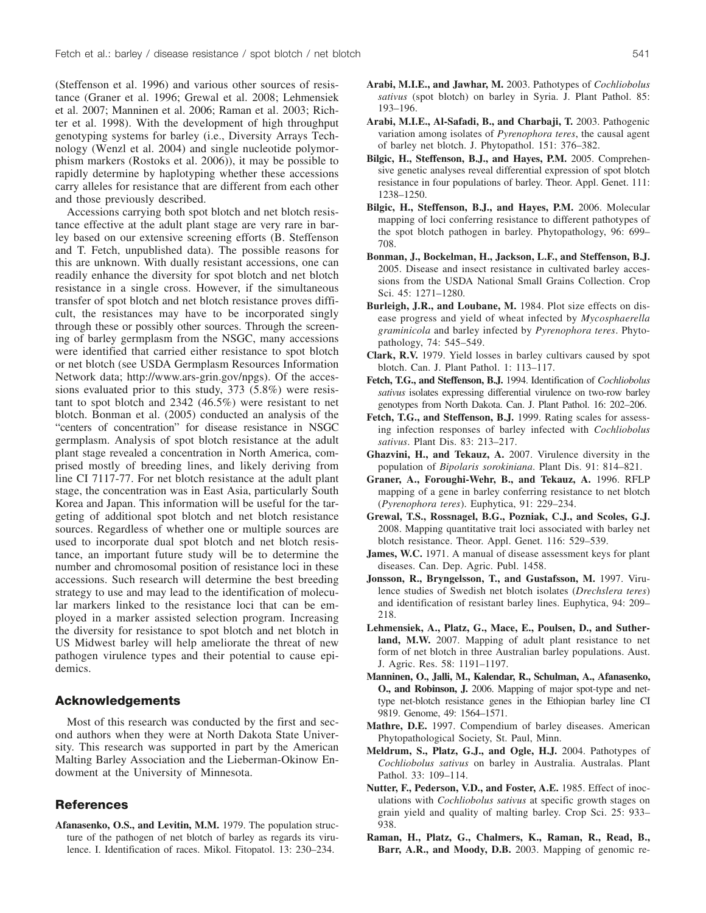(Steffenson et al. 1996) and various other sources of resistance (Graner et al. 1996; Grewal et al. 2008; Lehmensiek et al. 2007; Manninen et al. 2006; Raman et al. 2003; Richter et al. 1998). With the development of high throughput genotyping systems for barley (i.e., Diversity Arrays Technology (Wenzl et al. 2004) and single nucleotide polymorphism markers (Rostoks et al. 2006)), it may be possible to rapidly determine by haplotyping whether these accessions carry alleles for resistance that are different from each other and those previously described.

Accessions carrying both spot blotch and net blotch resistance effective at the adult plant stage are very rare in barley based on our extensive screening efforts (B. Steffenson and T. Fetch, unpublished data). The possible reasons for this are unknown. With dually resistant accessions, one can readily enhance the diversity for spot blotch and net blotch resistance in a single cross. However, if the simultaneous transfer of spot blotch and net blotch resistance proves difficult, the resistances may have to be incorporated singly through these or possibly other sources. Through the screening of barley germplasm from the NSGC, many accessions were identified that carried either resistance to spot blotch or net blotch (see USDA Germplasm Resources Information Network data; http://www.ars-grin.gov/npgs). Of the accessions evaluated prior to this study, 373 (5.8%) were resistant to spot blotch and 2342 (46.5%) were resistant to net blotch. Bonman et al. (2005) conducted an analysis of the "centers of concentration" for disease resistance in NSGC germplasm. Analysis of spot blotch resistance at the adult plant stage revealed a concentration in North America, comprised mostly of breeding lines, and likely deriving from line CI 7117-77. For net blotch resistance at the adult plant stage, the concentration was in East Asia, particularly South Korea and Japan. This information will be useful for the targeting of additional spot blotch and net blotch resistance sources. Regardless of whether one or multiple sources are used to incorporate dual spot blotch and net blotch resistance, an important future study will be to determine the number and chromosomal position of resistance loci in these accessions. Such research will determine the best breeding strategy to use and may lead to the identification of molecular markers linked to the resistance loci that can be employed in a marker assisted selection program. Increasing the diversity for resistance to spot blotch and net blotch in US Midwest barley will help ameliorate the threat of new pathogen virulence types and their potential to cause epidemics.

# **Acknowledgements**

Most of this research was conducted by the first and second authors when they were at North Dakota State University. This research was supported in part by the American Malting Barley Association and the Lieberman-Okinow Endowment at the University of Minnesota.

# **References**

**Afanasenko, O.S., and Levitin, M.M.** 1979. The population structure of the pathogen of net blotch of barley as regards its virulence. I. Identification of races. Mikol. Fitopatol. 13: 230–234.

- **Arabi, M.I.E., and Jawhar, M.** 2003. Pathotypes of *Cochliobolus sativus* (spot blotch) on barley in Syria. J. Plant Pathol. 85: 193–196.
- **Arabi, M.I.E., Al-Safadi, B., and Charbaji, T.** 2003. Pathogenic variation among isolates of *Pyrenophora teres*, the causal agent of barley net blotch. J. Phytopathol. 151: 376–382.
- **Bilgic, H., Steffenson, B.J., and Hayes, P.M.** 2005. Comprehensive genetic analyses reveal differential expression of spot blotch resistance in four populations of barley. Theor. Appl. Genet. 111: 1238–1250.
- **Bilgic, H., Steffenson, B.J., and Hayes, P.M.** 2006. Molecular mapping of loci conferring resistance to different pathotypes of the spot blotch pathogen in barley. Phytopathology, 96: 699– 708.
- **Bonman, J., Bockelman, H., Jackson, L.F., and Steffenson, B.J.** 2005. Disease and insect resistance in cultivated barley accessions from the USDA National Small Grains Collection. Crop Sci. 45: 1271–1280.
- **Burleigh, J.R., and Loubane, M.** 1984. Plot size effects on disease progress and yield of wheat infected by *Mycosphaerella graminicola* and barley infected by *Pyrenophora teres*. Phytopathology, 74: 545–549.
- **Clark, R.V.** 1979. Yield losses in barley cultivars caused by spot blotch. Can. J. Plant Pathol. 1: 113–117.
- **Fetch, T.G., and Steffenson, B.J.** 1994. Identification of *Cochliobolus sativus* isolates expressing differential virulence on two-row barley genotypes from North Dakota. Can. J. Plant Pathol. 16: 202–206.
- Fetch, T.G., and Steffenson, B.J. 1999. Rating scales for assessing infection responses of barley infected with *Cochliobolus sativus*. Plant Dis. 83: 213–217.
- **Ghazvini, H., and Tekauz, A.** 2007. Virulence diversity in the population of *Bipolaris sorokiniana*. Plant Dis. 91: 814–821.
- **Graner, A., Foroughi-Wehr, B., and Tekauz, A.** 1996. RFLP mapping of a gene in barley conferring resistance to net blotch (*Pyrenophora teres*). Euphytica, 91: 229–234.
- **Grewal, T.S., Rossnagel, B.G., Pozniak, C.J., and Scoles, G.J.** 2008. Mapping quantitative trait loci associated with barley net blotch resistance. Theor. Appl. Genet. 116: 529–539.
- **James, W.C.** 1971. A manual of disease assessment keys for plant diseases. Can. Dep. Agric. Publ. 1458.
- **Jonsson, R., Bryngelsson, T., and Gustafsson, M.** 1997. Virulence studies of Swedish net blotch isolates (*Drechslera teres*) and identification of resistant barley lines. Euphytica, 94: 209– 218.
- **Lehmensiek, A., Platz, G., Mace, E., Poulsen, D., and Sutherland, M.W.** 2007. Mapping of adult plant resistance to net form of net blotch in three Australian barley populations. Aust. J. Agric. Res. 58: 1191–1197.
- **Manninen, O., Jalli, M., Kalendar, R., Schulman, A., Afanasenko, O., and Robinson, J.** 2006. Mapping of major spot-type and nettype net-blotch resistance genes in the Ethiopian barley line CI 9819. Genome, 49: 1564–1571.
- **Mathre, D.E.** 1997. Compendium of barley diseases. American Phytopathological Society, St. Paul, Minn.
- **Meldrum, S., Platz, G.J., and Ogle, H.J.** 2004. Pathotypes of *Cochliobolus sativus* on barley in Australia. Australas. Plant Pathol. 33: 109–114.
- **Nutter, F., Pederson, V.D., and Foster, A.E.** 1985. Effect of inoculations with *Cochliobolus sativus* at specific growth stages on grain yield and quality of malting barley. Crop Sci. 25: 933– 938.
- **Raman, H., Platz, G., Chalmers, K., Raman, R., Read, B., Barr, A.R., and Moody, D.B.** 2003. Mapping of genomic re-